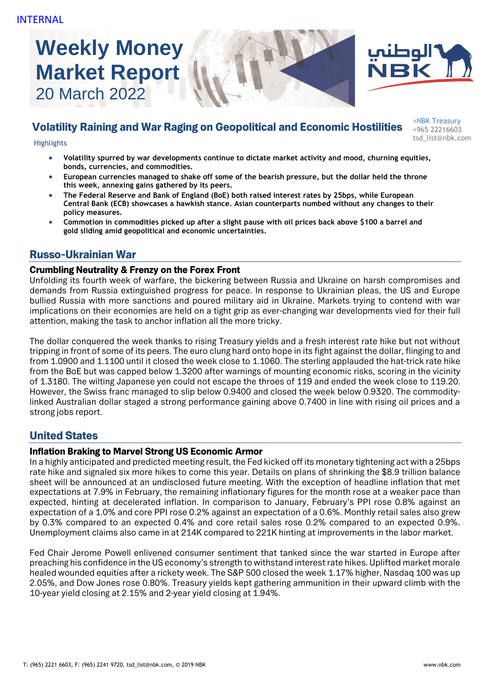# **Weekly Money Market Report** 20 March 2022





# Volatility Raining and War Raging on Geopolitical and Economic Hostilities

>NBK Treasury +965 22216603 tsd\_list@nbk.com Highlights

- **Volatility spurred by war developments continue to dictate market activity and mood, churning equities, bonds, currencies, and commodities.**
- **European currencies managed to shake off some of the bearish pressure, but the dollar held the throne this week, annexing gains gathered by its peers.**
- **The Federal Reserve and Bank of England (BoE) both raised interest rates by 25bps, while European Central Bank (ECB) showcases a hawkish stance. Asian counterparts numbed without any changes to their policy measures.**
- **Commotion in commodities picked up after a slight pause with oil prices back above \$100 a barrel and gold sliding amid geopolitical and economic uncertainties.**

# Russo-Ukrainian War

# Crumbling Neutrality & Frenzy on the Forex Front

Unfolding its fourth week of warfare, the bickering between Russia and Ukraine on harsh compromises and demands from Russia extinguished progress for peace. In response to Ukrainian pleas, the US and Europe bullied Russia with more sanctions and poured military aid in Ukraine. Markets trying to contend with war implications on their economies are held on a tight grip as ever-changing war developments vied for their full attention, making the task to anchor inflation all the more tricky.

The dollar conquered the week thanks to rising Treasury yields and a fresh interest rate hike but not without tripping in front of some of its peers. The euro clung hard onto hope in its fight against the dollar, flinging to and from 1.0900 and 1.1100 until it closed the week close to 1.1060. The sterling applauded the hat-trick rate hike from the BoE but was capped below 1.3200 after warnings of mounting economic risks, scoring in the vicinity of 1.3180. The wilting Japanese yen could not escape the throes of 119 and ended the week close to 119.20. However, the Swiss franc managed to slip below 0.9400 and closed the week below 0.9320. The commoditylinked Australian dollar staged a strong performance gaining above 0.7400 in line with rising oil prices and a strong jobs report.

# United States

# Inflation Braking to Marvel Strong US Economic Armor

In a highly anticipated and predicted meeting result, the Fed kicked off its monetary tightening act with a 25bps rate hike and signaled six more hikes to come this year. Details on plans of shrinking the \$8.9 trillion balance sheet will be announced at an undisclosed future meeting. With the exception of headline inflation that met expectations at 7.9% in February, the remaining inflationary figures for the month rose at a weaker pace than expected, hinting at decelerated inflation. In comparison to January, February's PPI rose 0.8% against an expectation of a 1.0% and core PPI rose 0.2% against an expectation of a 0.6%. Monthly retail sales also grew by 0.3% compared to an expected 0.4% and core retail sales rose 0.2% compared to an expected 0.9%. Unemployment claims also came in at 214K compared to 221K hinting at improvements in the labor market.

Fed Chair Jerome Powell enlivened consumer sentiment that tanked since the war started in Europe after preaching his confidence in the US economy's strength to withstand interest rate hikes. Uplifted market morale healed wounded equities after a rickety week. The S&P 500 closed the week 1.17% higher, Nasdaq 100 was up 2.05%, and Dow Jones rose 0.80%. Treasury yields kept gathering ammunition in their upward climb with the 10-year yield closing at 2.15% and 2-year yield closing at 1.94%.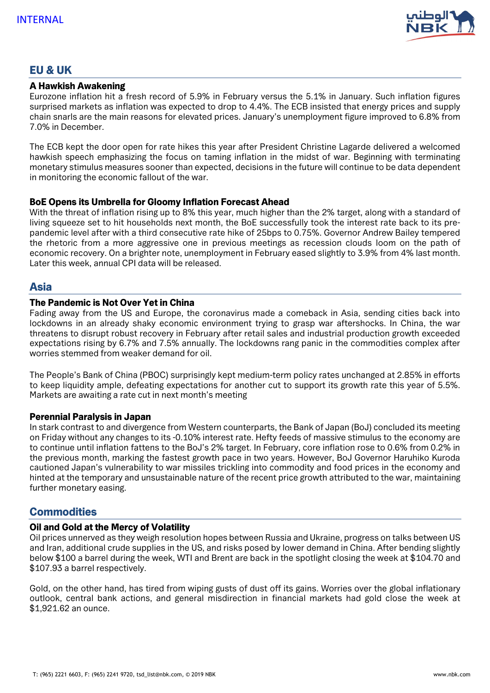

# EU & UK

#### A Hawkish Awakening

Eurozone inflation hit a fresh record of 5.9% in February versus the 5.1% in January. Such inflation figures surprised markets as inflation was expected to drop to 4.4%. The ECB insisted that energy prices and supply chain snarls are the main reasons for elevated prices. January's unemployment figure improved to 6.8% from 7.0% in December.

The ECB kept the door open for rate hikes this year after President Christine Lagarde delivered a welcomed hawkish speech emphasizing the focus on taming inflation in the midst of war. Beginning with terminating monetary stimulus measures sooner than expected, decisions in the future will continue to be data dependent in monitoring the economic fallout of the war.

## BoE Opens its Umbrella for Gloomy Inflation Forecast Ahead

With the threat of inflation rising up to 8% this year, much higher than the 2% target, along with a standard of living squeeze set to hit households next month, the BoE successfully took the interest rate back to its prepandemic level after with a third consecutive rate hike of 25bps to 0.75%. Governor Andrew Bailey tempered the rhetoric from a more aggressive one in previous meetings as recession clouds loom on the path of economic recovery. On a brighter note, unemployment in February eased slightly to 3.9% from 4% last month. Later this week, annual CPI data will be released.

# Asia

## The Pandemic is Not Over Yet in China

Fading away from the US and Europe, the coronavirus made a comeback in Asia, sending cities back into lockdowns in an already shaky economic environment trying to grasp war aftershocks. In China, the war threatens to disrupt robust recovery in February after retail sales and industrial production growth exceeded expectations rising by 6.7% and 7.5% annually. The lockdowns rang panic in the commodities complex after worries stemmed from weaker demand for oil.

The People's Bank of China (PBOC) surprisingly kept medium-term policy rates unchanged at 2.85% in efforts to keep liquidity ample, defeating expectations for another cut to support its growth rate this year of 5.5%. Markets are awaiting a rate cut in next month's meeting

#### Perennial Paralysis in Japan

In stark contrast to and divergence from Western counterparts, the Bank of Japan (BoJ) concluded its meeting on Friday without any changes to its -0.10% interest rate. Hefty feeds of massive stimulus to the economy are to continue until inflation fattens to the BoJ's 2% target. In February, core inflation rose to 0.6% from 0.2% in the previous month, marking the fastest growth pace in two years. However, BoJ Governor Haruhiko Kuroda cautioned Japan's vulnerability to war missiles trickling into commodity and food prices in the economy and hinted at the temporary and unsustainable nature of the recent price growth attributed to the war, maintaining further monetary easing.

# **Commodities**

#### Oil and Gold at the Mercy of Volatility

Oil prices unnerved as they weigh resolution hopes between Russia and Ukraine, progress on talks between US and Iran, additional crude supplies in the US, and risks posed by lower demand in China. After bending slightly below \$100 a barrel during the week, WTI and Brent are back in the spotlight closing the week at \$104.70 and \$107.93 a barrel respectively.

Gold, on the other hand, has tired from wiping gusts of dust off its gains. Worries over the global inflationary outlook, central bank actions, and general misdirection in financial markets had gold close the week at \$1,921.62 an ounce.